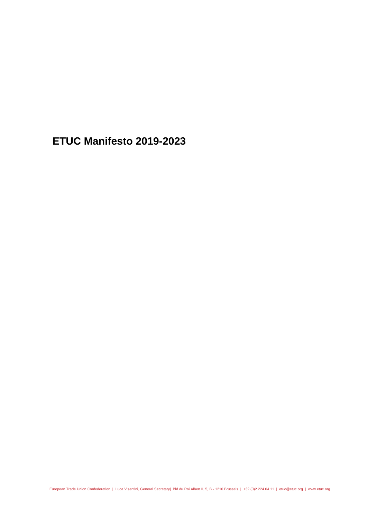**ETUC Manifesto 2019-2023**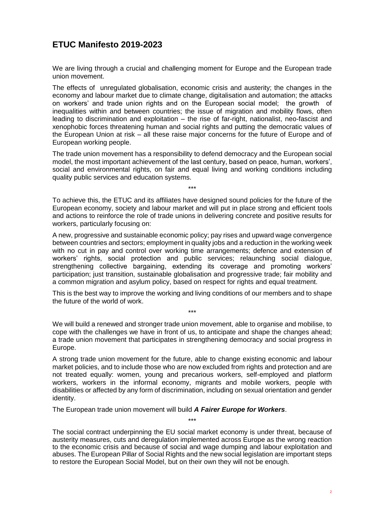## **ETUC Manifesto 2019-2023**

We are living through a crucial and challenging moment for Europe and the European trade union movement.

The effects of unregulated globalisation, economic crisis and austerity; the changes in the economy and labour market due to climate change, digitalisation and automation; the attacks on workers' and trade union rights and on the European social model; the growth of inequalities within and between countries; the issue of migration and mobility flows, often leading to discrimination and exploitation – the rise of far-right, nationalist, neo-fascist and xenophobic forces threatening human and social rights and putting the democratic values of the European Union at risk – all these raise major concerns for the future of Europe and of European working people.

The trade union movement has a responsibility to defend democracy and the European social model, the most important achievement of the last century, based on peace, human, workers', social and environmental rights, on fair and equal living and working conditions including quality public services and education systems.

To achieve this, the ETUC and its affiliates have designed sound policies for the future of the European economy, society and labour market and will put in place strong and efficient tools and actions to reinforce the role of trade unions in delivering concrete and positive results for workers, particularly focusing on:

\*\*\*

A new, progressive and sustainable economic policy; pay rises and upward wage convergence between countries and sectors; employment in quality jobs and a reduction in the working week with no cut in pay and control over working time arrangements; defence and extension of workers' rights, social protection and public services; relaunching social dialogue, strengthening collective bargaining, extending its coverage and promoting workers' participation; just transition, sustainable globalisation and progressive trade; fair mobility and a common migration and asylum policy, based on respect for rights and equal treatment.

This is the best way to improve the working and living conditions of our members and to shape the future of the world of work.

\*\*\*

We will build a renewed and stronger trade union movement, able to organise and mobilise, to cope with the challenges we have in front of us, to anticipate and shape the changes ahead; a trade union movement that participates in strengthening democracy and social progress in Europe.

A strong trade union movement for the future, able to change existing economic and labour market policies, and to include those who are now excluded from rights and protection and are not treated equally: women, young and precarious workers, self-employed and platform workers, workers in the informal economy, migrants and mobile workers, people with disabilities or affected by any form of discrimination, including on sexual orientation and gender identity.

The European trade union movement will build *A Fairer Europe for Workers*.

The social contract underpinning the EU social market economy is under threat, because of austerity measures, cuts and deregulation implemented across Europe as the wrong reaction to the economic crisis and because of social and wage dumping and labour exploitation and abuses. The European Pillar of Social Rights and the new social legislation are important steps to restore the European Social Model, but on their own they will not be enough.

\*\*\*